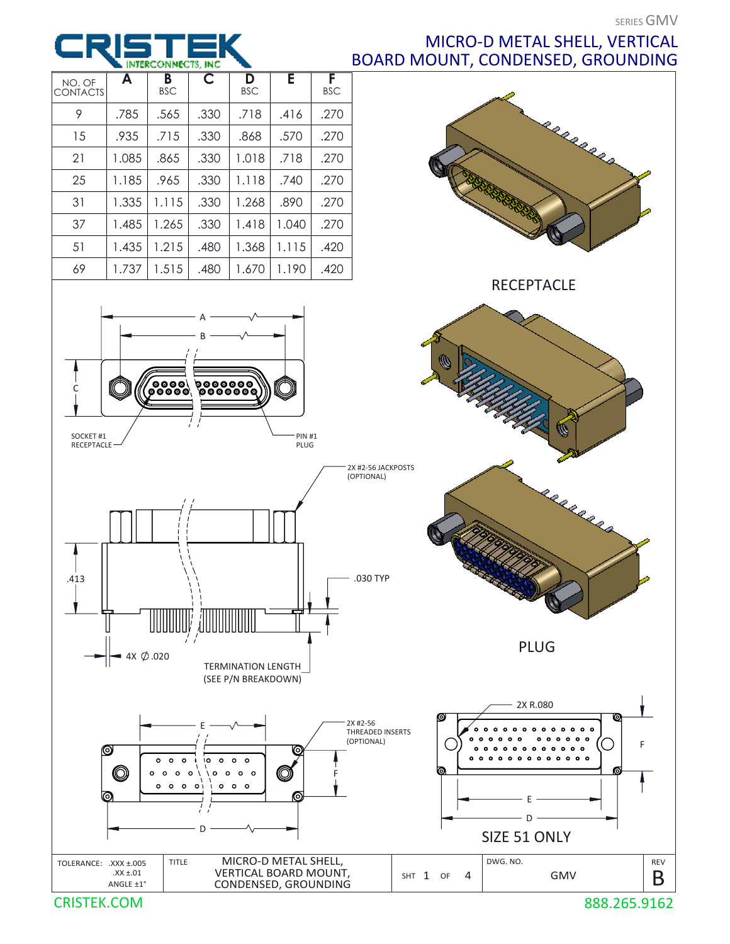## MICRO-D METAL SHELL, VERTICAL BOARD MOUNT, CONDENSED, GROUNDING



CRISTEK.COM

1 INTERCONNECTS.

**INC**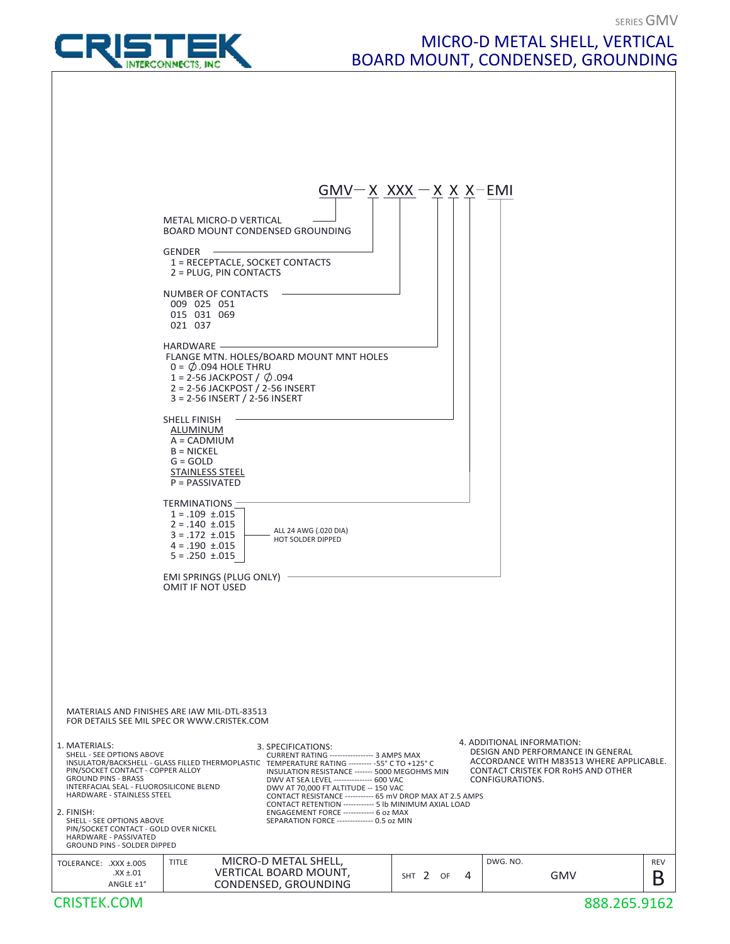

## MICRO-D METAL SHELL, VERTICAL BOARD MOUNT, CONDENSED, GROUNDING

SERIES GMV

|                                                                                                                                                                                                                                                                                                                                                                                                                                                                                                                                                                                                                                                                                                                                                                                                                                    | $GMV-X XXX - X X X - EMI$ |                                                                                                                                                                             |            |
|------------------------------------------------------------------------------------------------------------------------------------------------------------------------------------------------------------------------------------------------------------------------------------------------------------------------------------------------------------------------------------------------------------------------------------------------------------------------------------------------------------------------------------------------------------------------------------------------------------------------------------------------------------------------------------------------------------------------------------------------------------------------------------------------------------------------------------|---------------------------|-----------------------------------------------------------------------------------------------------------------------------------------------------------------------------|------------|
| <b>METAL MICRO-D VERTICAL</b><br>BOARD MOUNT CONDENSED GROUNDING                                                                                                                                                                                                                                                                                                                                                                                                                                                                                                                                                                                                                                                                                                                                                                   |                           |                                                                                                                                                                             |            |
| GENDER -<br>1 = RECEPTACLE, SOCKET CONTACTS<br>2 = PLUG, PIN CONTACTS                                                                                                                                                                                                                                                                                                                                                                                                                                                                                                                                                                                                                                                                                                                                                              |                           |                                                                                                                                                                             |            |
| NUMBER OF CONTACTS<br>009 025 051<br>015 031 069<br>021 037                                                                                                                                                                                                                                                                                                                                                                                                                                                                                                                                                                                                                                                                                                                                                                        |                           |                                                                                                                                                                             |            |
| HARDWARE -<br>FLANGE MTN. HOLES/BOARD MOUNT MNT HOLES<br>$0 = \emptyset$ .094 HOLE THRU<br>1 = 2-56 JACKPOST / $\varnothing$ .094<br>2 = 2-56 JACKPOST / 2-56 INSERT<br>3 = 2-56 INSERT / 2-56 INSERT                                                                                                                                                                                                                                                                                                                                                                                                                                                                                                                                                                                                                              |                           |                                                                                                                                                                             |            |
| <b>SHELL FINISH</b><br>ALUMINUM<br>$A = CADMIUM$<br>$B = NICKEL$<br>$G = GOLD$<br><b>STAINLESS STEEL</b><br>$P = PASSIVATED$                                                                                                                                                                                                                                                                                                                                                                                                                                                                                                                                                                                                                                                                                                       |                           |                                                                                                                                                                             |            |
| <b>TERMINATIONS</b><br>$1 = .109 \pm .015$<br>$2 = .140 \pm .015$<br>ALL 24 AWG (.020 DIA)<br>$3 = .172 \pm .015$<br>HOT SOLDER DIPPED<br>$4 = .190 \pm .015$<br>$5 = .250 \pm .015$                                                                                                                                                                                                                                                                                                                                                                                                                                                                                                                                                                                                                                               |                           |                                                                                                                                                                             |            |
| EMI SPRINGS (PLUG ONLY) -<br>OMIT IF NOT USED                                                                                                                                                                                                                                                                                                                                                                                                                                                                                                                                                                                                                                                                                                                                                                                      |                           |                                                                                                                                                                             |            |
|                                                                                                                                                                                                                                                                                                                                                                                                                                                                                                                                                                                                                                                                                                                                                                                                                                    |                           |                                                                                                                                                                             |            |
| MATERIALS AND FINISHES ARE IAW MIL-DTL-83513<br>FOR DETAILS SEE MIL SPEC OR WWW.CRISTEK.COM                                                                                                                                                                                                                                                                                                                                                                                                                                                                                                                                                                                                                                                                                                                                        |                           |                                                                                                                                                                             |            |
| 1. MATERIALS:<br>3. SPECIFICATIONS:<br>SHELL - SEE OPTIONS ABOVE<br>CURRENT RATING ----------------- 3 AMPS MAX<br>INSULATOR/BACKSHELL - GLASS FILLED THERMOPLASTIC TEMPERATURE RATING --------- - 55° C TO +125° C<br>PIN/SOCKET CONTACT - COPPER ALLOY<br>INSULATION RESISTANCE ------- 5000 MEGOHMS MIN<br><b>GROUND PINS - BRASS</b><br>DWV AT SEA LEVEL --------------- 600 VAC<br>INTERFACIAL SEAL - FLUOROSILICONE BLEND<br>DWV AT 70,000 FT ALTITUDE -- 150 VAC<br>HARDWARE - STAINLESS STEEL<br>CONTACT RESISTANCE ----------- 65 mV DROP MAX AT 2.5 AMPS<br>CONTACT RETENTION ------------ 5 lb MINIMUM AXIAL LOAD<br>2. FINISH:<br>ENGAGEMENT FORCE ------------- 6 oz MAX<br>SEPARATION FORCE -------------- 0.5 oz MIN<br>SHELL - SEE OPTIONS ABOVE<br>PIN/SOCKET CONTACT - GOLD OVER NICKEL<br>HARDWARE - PASSIVATED |                           | 4. ADDITIONAL INFORMATION:<br>DESIGN AND PERFORMANCE IN GENERAL<br>ACCORDANCE WITH M83513 WHERE APPLICABLE.<br><b>CONTACT CRISTEK FOR ROHS AND OTHER</b><br>CONFIGURATIONS. |            |
| GROUND PINS - SOLDER DIPPED<br>MICRO-D METAL SHELL,<br><b>TITLE</b><br>TOLERANCE: .XXX ±.005                                                                                                                                                                                                                                                                                                                                                                                                                                                                                                                                                                                                                                                                                                                                       |                           | DWG. NO.                                                                                                                                                                    | <b>REV</b> |
| VERTICAL BOARD MOUNT,<br>$XX \pm .01$<br>CONDENSED, GROUNDING<br>ANGLE ±1°                                                                                                                                                                                                                                                                                                                                                                                                                                                                                                                                                                                                                                                                                                                                                         | SHT 2<br>4<br>OF          | GMV                                                                                                                                                                         | Β          |
| <b>CRISTEK.COM</b>                                                                                                                                                                                                                                                                                                                                                                                                                                                                                                                                                                                                                                                                                                                                                                                                                 |                           | 888.265.9162                                                                                                                                                                |            |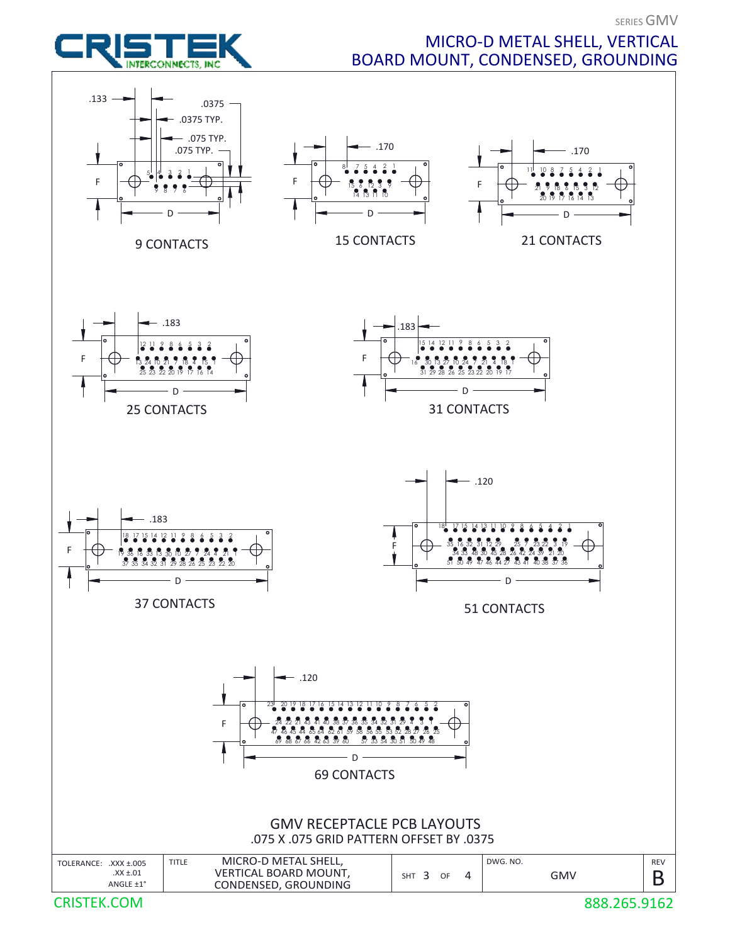

## MICRO-D METAL SHELL, VERTICAL BOARD MOUNT, CONDENSED, GROUNDING

SERIES GMV



888.265.9162